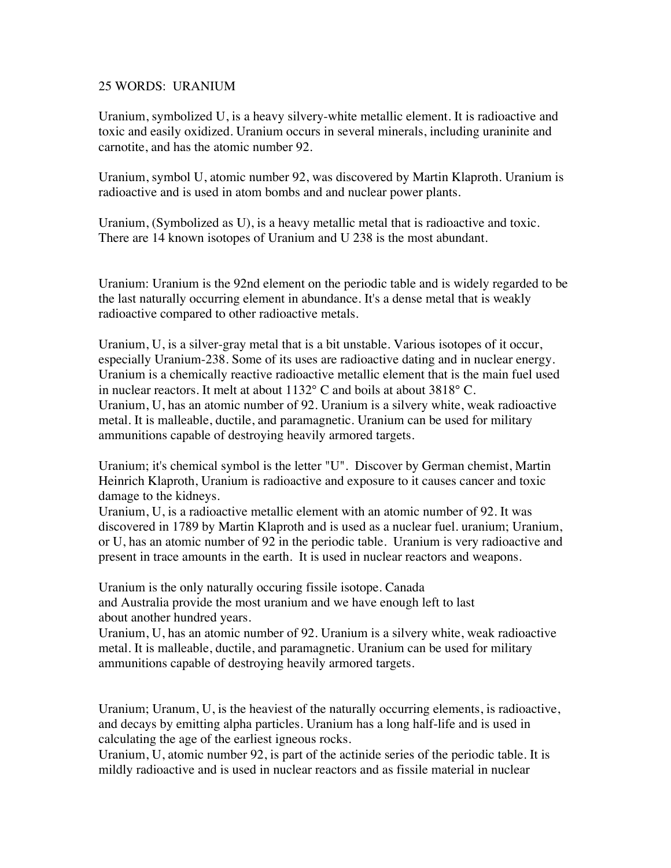## 25 WORDS: URANIUM

Uranium, symbolized U, is a heavy silvery-white metallic element. It is radioactive and toxic and easily oxidized. Uranium occurs in several minerals, including uraninite and carnotite, and has the atomic number 92.

Uranium, symbol U, atomic number 92, was discovered by Martin Klaproth. Uranium is radioactive and is used in atom bombs and and nuclear power plants.

Uranium, (Symbolized as U), is a heavy metallic metal that is radioactive and toxic. There are 14 known isotopes of Uranium and U 238 is the most abundant.

Uranium: Uranium is the 92nd element on the periodic table and is widely regarded to be the last naturally occurring element in abundance. It's a dense metal that is weakly radioactive compared to other radioactive metals.

Uranium, U, is a silver-gray metal that is a bit unstable. Various isotopes of it occur, especially Uranium-238. Some of its uses are radioactive dating and in nuclear energy. Uranium is a chemically reactive radioactive metallic element that is the main fuel used in nuclear reactors. It melt at about 1132° C and boils at about 3818° C. Uranium, U, has an atomic number of 92. Uranium is a silvery white, weak radioactive metal. It is malleable, ductile, and paramagnetic. Uranium can be used for military ammunitions capable of destroying heavily armored targets.

Uranium; it's chemical symbol is the letter "U". Discover by German chemist, Martin Heinrich Klaproth, Uranium is radioactive and exposure to it causes cancer and toxic damage to the kidneys.

Uranium, U, is a radioactive metallic element with an atomic number of 92. It was discovered in 1789 by Martin Klaproth and is used as a nuclear fuel. uranium; Uranium, or U, has an atomic number of 92 in the periodic table. Uranium is very radioactive and present in trace amounts in the earth. It is used in nuclear reactors and weapons.

Uranium is the only naturally occuring fissile isotope. Canada and Australia provide the most uranium and we have enough left to last about another hundred years.

Uranium, U, has an atomic number of 92. Uranium is a silvery white, weak radioactive metal. It is malleable, ductile, and paramagnetic. Uranium can be used for military ammunitions capable of destroying heavily armored targets.

Uranium; Uranum, U, is the heaviest of the naturally occurring elements, is radioactive, and decays by emitting alpha particles. Uranium has a long half-life and is used in calculating the age of the earliest igneous rocks.

Uranium, U, atomic number 92, is part of the actinide series of the periodic table. It is mildly radioactive and is used in nuclear reactors and as fissile material in nuclear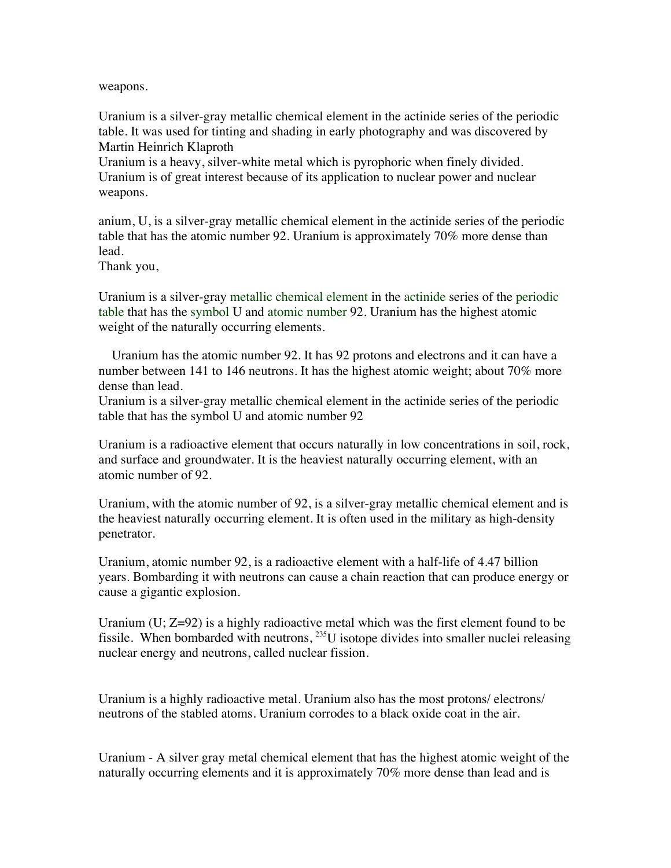weapons.

Uranium is a silver-gray metallic chemical element in the actinide series of the periodic table. It was used for tinting and shading in early photography and was discovered by Martin Heinrich Klaproth

Uranium is a heavy, silver-white metal which is pyrophoric when finely divided. Uranium is of great interest because of its application to nuclear power and nuclear weapons.

anium, U, is a silver-gray metallic chemical element in the actinide series of the periodic table that has the atomic number 92. Uranium is approximately 70% more dense than lead.

Thank you,

Uranium is a silver-gray metallic chemical element in the actinide series of the periodic table that has the symbol U and atomic number 92. Uranium has the highest atomic weight of the naturally occurring elements.

 Uranium has the atomic number 92. It has 92 protons and electrons and it can have a number between 141 to 146 neutrons. It has the highest atomic weight; about 70% more dense than lead.

Uranium is a silver-gray metallic chemical element in the actinide series of the periodic table that has the symbol U and atomic number 92

Uranium is a radioactive element that occurs naturally in low concentrations in soil, rock, and surface and groundwater. It is the heaviest naturally occurring element, with an atomic number of 92.

Uranium, with the atomic number of 92, is a silver-gray metallic chemical element and is the heaviest naturally occurring element. It is often used in the military as high-density penetrator.

Uranium, atomic number 92, is a radioactive element with a half-life of 4.47 billion years. Bombarding it with neutrons can cause a chain reaction that can produce energy or cause a gigantic explosion.

Uranium  $(U; Z=92)$  is a highly radioactive metal which was the first element found to be fissile. When bombarded with neutrons,  $^{235}U$  isotope divides into smaller nuclei releasing nuclear energy and neutrons, called nuclear fission.

Uranium is a highly radioactive metal. Uranium also has the most protons/ electrons/ neutrons of the stabled atoms. Uranium corrodes to a black oxide coat in the air.

Uranium - A silver gray metal chemical element that has the highest atomic weight of the naturally occurring elements and it is approximately 70% more dense than lead and is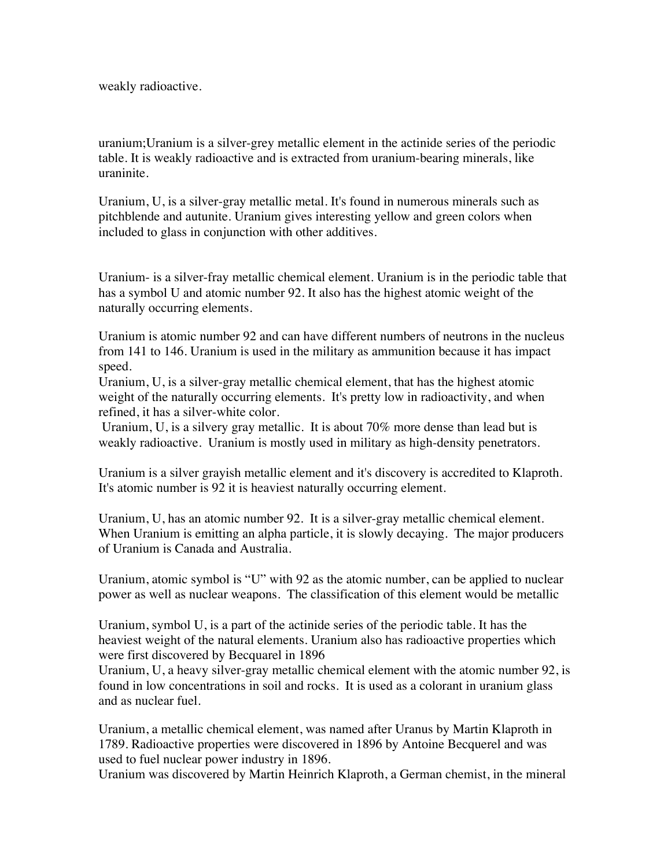weakly radioactive.

uranium;Uranium is a silver-grey metallic element in the actinide series of the periodic table. It is weakly radioactive and is extracted from uranium-bearing minerals, like uraninite.

Uranium, U, is a silver-gray metallic metal. It's found in numerous minerals such as pitchblende and autunite. Uranium gives interesting yellow and green colors when included to glass in conjunction with other additives.

Uranium- is a silver-fray metallic chemical element. Uranium is in the periodic table that has a symbol U and atomic number 92. It also has the highest atomic weight of the naturally occurring elements.

Uranium is atomic number 92 and can have different numbers of neutrons in the nucleus from 141 to 146. Uranium is used in the military as ammunition because it has impact speed.

Uranium, U, is a silver-gray metallic chemical element, that has the highest atomic weight of the naturally occurring elements. It's pretty low in radioactivity, and when refined, it has a silver-white color.

 Uranium, U, is a silvery gray metallic. It is about 70% more dense than lead but is weakly radioactive. Uranium is mostly used in military as high-density penetrators.

Uranium is a silver grayish metallic element and it's discovery is accredited to Klaproth. It's atomic number is 92 it is heaviest naturally occurring element.

Uranium, U, has an atomic number 92. It is a silver-gray metallic chemical element. When Uranium is emitting an alpha particle, it is slowly decaying. The major producers of Uranium is Canada and Australia.

Uranium, atomic symbol is "U" with 92 as the atomic number, can be applied to nuclear power as well as nuclear weapons. The classification of this element would be metallic

Uranium, symbol U, is a part of the actinide series of the periodic table. It has the heaviest weight of the natural elements. Uranium also has radioactive properties which were first discovered by Becquarel in 1896

Uranium, U, a heavy silver-gray metallic chemical element with the atomic number 92, is found in low concentrations in soil and rocks. It is used as a colorant in uranium glass and as nuclear fuel.

Uranium, a metallic chemical element, was named after Uranus by Martin Klaproth in 1789. Radioactive properties were discovered in 1896 by Antoine Becquerel and was used to fuel nuclear power industry in 1896.

Uranium was discovered by Martin Heinrich Klaproth, a German chemist, in the mineral